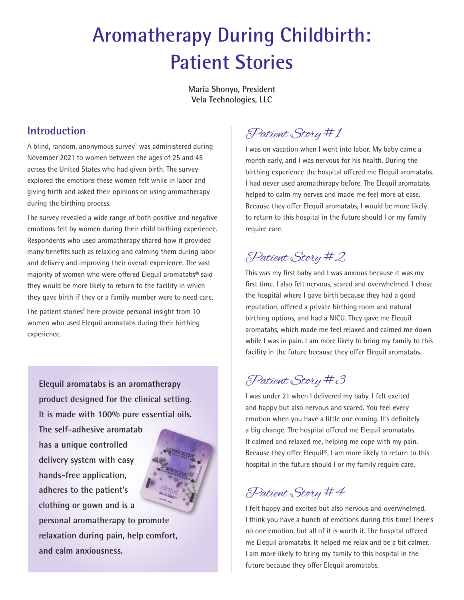# **Aromatherapy During Childbirth: Patient Stories**

**Maria Shonyo, President Vela Technologies, LLC**

#### **Introduction**

A blind, random, anonymous survey<sup>1</sup> was administered during November 2021 to women between the ages of 25 and 45 across the United States who had given birth. The survey explored the emotions these women felt while in labor and giving birth and asked their opinions on using aromatherapy during the birthing process.

The survey revealed a wide range of both positive and negative emotions felt by women during their child birthing experience. Respondents who used aromatherapy shared how it provided many benefits such as relaxing and calming them during labor and delivery and improving their overall experience. The vast majority of women who were offered Elequil aromatabs® said they would be more likely to return to the facility in which they gave birth if they or a family member were to need care.

The patient stories<sup>2</sup> here provide personal insight from 10 women who used Elequil aromatabs during their birthing experience.

**Elequil aromatabs is an aromatherapy product designed for the clinical setting. It is made with 100% pure essential oils.** 

**The self-adhesive aromatab has a unique controlled delivery system with easy hands-free application, adheres to the patient's clothing or gown and is a personal aromatherapy to promote relaxation during pain, help comfort, and calm anxiousness.** 



## Patient Story #1

I was on vacation when I went into labor. My baby came a month early, and I was nervous for his health. During the birthing experience the hospital offered me Elequil aromatabs. I had never used aromatherapy before. The Elequil aromatabs helped to calm my nerves and made me feel more at ease. Because they offer Elequil aromatabs, I would be more likely to return to this hospital in the future should I or my family require care.

#### Patient Story #2

This was my first baby and I was anxious because it was my first time. I also felt nervous, scared and overwhelmed. I chose the hospital where I gave birth because they had a good reputation, offered a private birthing room and natural birthing options, and had a NICU. They gave me Elequil aromatabs, which made me feel relaxed and calmed me down while I was in pain. I am more likely to bring my family to this facility in the future because they offer Elequil aromatabs.

#### Patient Story #3

I was under 21 when I delivered my baby. I felt excited and happy but also nervous and scared. You feel every emotion when you have a little one coming. It's definitely a big change. The hospital offered me Elequil aromatabs. It calmed and relaxed me, helping me cope with my pain. Because they offer Elequil®, I am more likely to return to this hospital in the future should I or my family require care.

#### Patient Story #4

I felt happy and excited but also nervous and overwhelmed. I think you have a bunch of emotions during this time! There's no one emotion, but all of it is worth it. The hospital offered me Elequil aromatabs. It helped me relax and be a bit calmer. I am more likely to bring my family to this hospital in the future because they offer Elequil aromatabs.